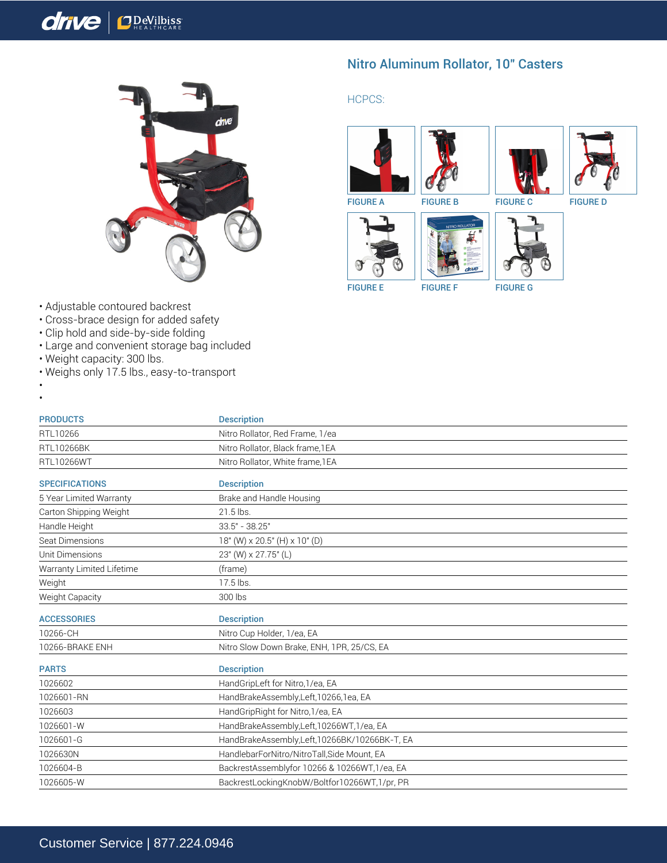## $drive$  $\mathbf{D}$  <u>Pe</u>Vilbiss



Nitro Aluminum Rollator, 10" Casters

## HCPCS:







FIGURE A FIGURE B FIGURE C FIGURE D









FIGURE E FIGURE F FIGURE G

- Adjustable contoured backrest
- Cross-brace design for added safety
- Clip hold and side-by-side folding
- Large and convenient storage bag included
- Weight capacity: 300 lbs.
- Weighs only 17.5 lbs., easy-to-transport
- •

| <b>PRODUCTS</b>           | <b>Description</b>                            |
|---------------------------|-----------------------------------------------|
| RTL10266                  | Nitro Rollator, Red Frame, 1/ea               |
| <b>RTL10266BK</b>         | Nitro Rollator, Black frame, 1EA              |
| <b>RTL10266WT</b>         | Nitro Rollator, White frame, 1EA              |
| <b>SPECIFICATIONS</b>     | <b>Description</b>                            |
| 5 Year Limited Warranty   | Brake and Handle Housing                      |
| Carton Shipping Weight    | 21.5 lbs.                                     |
| Handle Height             | $33.5" - 38.25"$                              |
| Seat Dimensions           | 18" (W) x 20.5" (H) x 10" (D)                 |
| Unit Dimensions           | 23" (W) x 27.75" (L)                          |
| Warranty Limited Lifetime | (frame)                                       |
| Weight                    | 17.5 lbs.                                     |
| Weight Capacity           | 300 lbs                                       |
| <b>ACCESSORIES</b>        | <b>Description</b>                            |
| 10266-CH                  | Nitro Cup Holder, 1/ea, EA                    |
| 10266-BRAKE ENH           | Nitro Slow Down Brake, ENH, 1PR, 25/CS, EA    |
| <b>PARTS</b>              | <b>Description</b>                            |
| 1026602                   | HandGripLeft for Nitro, 1/ea, EA              |
| 1026601-RN                | HandBrakeAssembly,Left,10266,1ea, EA          |
| 1026603                   | HandGripRight for Nitro, 1/ea, EA             |
| 1026601-W                 | HandBrakeAssembly,Left,10266WT,1/ea, EA       |
| 1026601-G                 | HandBrakeAssembly,Left,10266BK/10266BK-T, EA  |
| 1026630N                  | HandlebarForNitro/NitroTall, Side Mount, EA   |
| 1026604-B                 | BackrestAssemblyfor 10266 & 10266WT, 1/ea, EA |
| 1026605-W                 | BackrestLockingKnobW/Boltfor10266WT,1/pr, PR  |